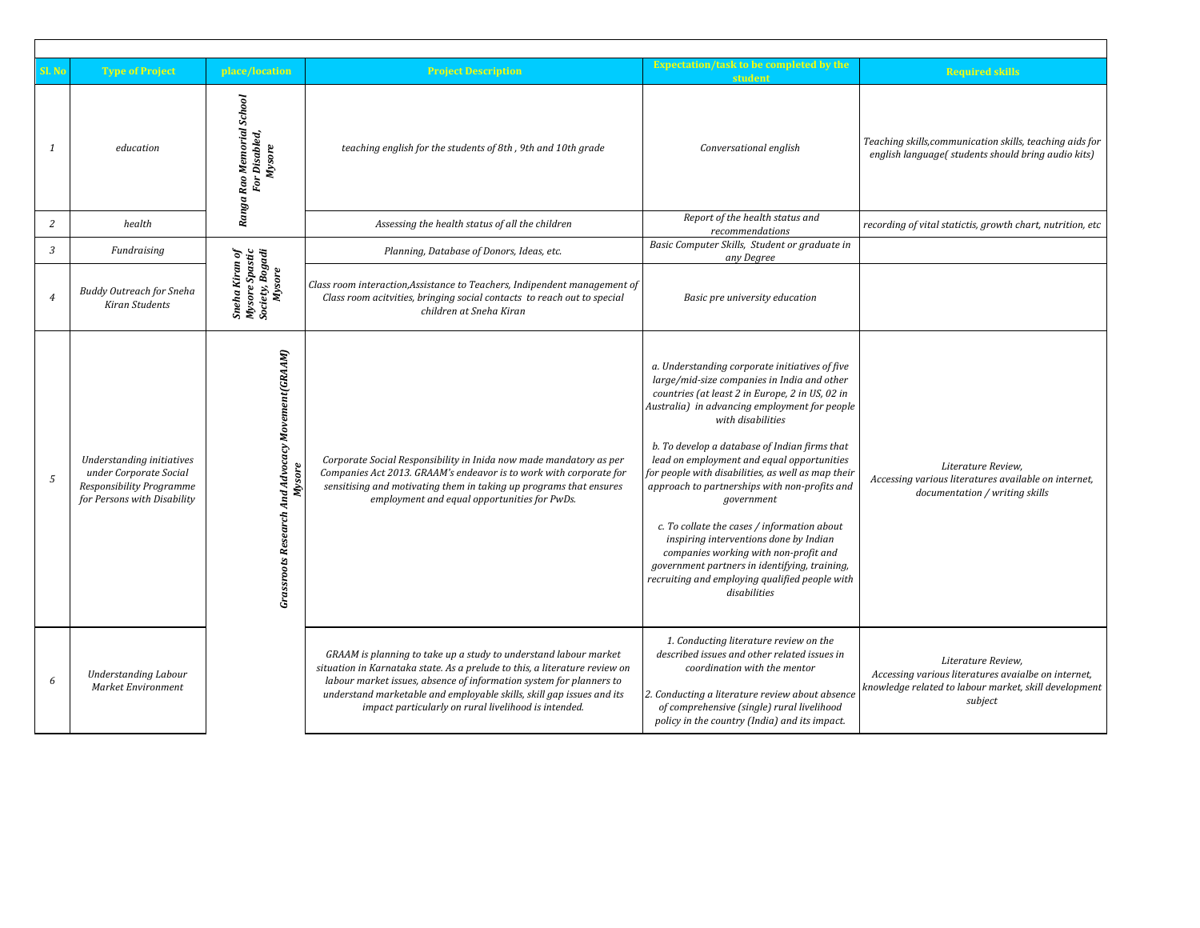|                | <b>Expectation/task to be completed by the</b>                                                                 |                                                               |                                                                                                                                                                                                                                                                                                                                                        |                                                                                                                                                                                                                                                                                                                                                                                                                                                                                                                                                                                                                                                                                                 |                                                                                                                                               |  |
|----------------|----------------------------------------------------------------------------------------------------------------|---------------------------------------------------------------|--------------------------------------------------------------------------------------------------------------------------------------------------------------------------------------------------------------------------------------------------------------------------------------------------------------------------------------------------------|-------------------------------------------------------------------------------------------------------------------------------------------------------------------------------------------------------------------------------------------------------------------------------------------------------------------------------------------------------------------------------------------------------------------------------------------------------------------------------------------------------------------------------------------------------------------------------------------------------------------------------------------------------------------------------------------------|-----------------------------------------------------------------------------------------------------------------------------------------------|--|
| Sl. No         | <b>Type of Project</b>                                                                                         | place/location                                                | <b>Project Description</b>                                                                                                                                                                                                                                                                                                                             | student                                                                                                                                                                                                                                                                                                                                                                                                                                                                                                                                                                                                                                                                                         | <b>Required skills</b>                                                                                                                        |  |
| $\mathbf{1}$   | education                                                                                                      | Ranga Rao Memorial School<br>For Disabled,<br>Mysore          | teaching english for the students of 8th, 9th and 10th grade                                                                                                                                                                                                                                                                                           | Conversational english                                                                                                                                                                                                                                                                                                                                                                                                                                                                                                                                                                                                                                                                          | Teaching skills, communication skills, teaching aids for<br>english language( students should bring audio kits)                               |  |
| $\overline{c}$ | health                                                                                                         |                                                               | Assessing the health status of all the children                                                                                                                                                                                                                                                                                                        | Report of the health status and<br>recommendations                                                                                                                                                                                                                                                                                                                                                                                                                                                                                                                                                                                                                                              | recording of vital statictis, growth chart, nutrition, etc                                                                                    |  |
| $\mathfrak{Z}$ | Fundraising                                                                                                    | Sneha Kiran of<br>Mysore Spastic<br>Society, Bogadi<br>Mysore | Planning, Database of Donors, Ideas, etc.                                                                                                                                                                                                                                                                                                              | Basic Computer Skills, Student or graduate in<br>any Degree                                                                                                                                                                                                                                                                                                                                                                                                                                                                                                                                                                                                                                     |                                                                                                                                               |  |
| $\overline{4}$ | <b>Buddy Outreach for Sneha</b><br><b>Kiran Students</b>                                                       |                                                               | Class room interaction, Assistance to Teachers, Indipendent management of<br>Class room acitvities, bringing social contacts to reach out to special<br>children at Sneha Kiran                                                                                                                                                                        | Basic pre university education                                                                                                                                                                                                                                                                                                                                                                                                                                                                                                                                                                                                                                                                  |                                                                                                                                               |  |
| $\sqrt{5}$     | Understanding initiatives<br>under Corporate Social<br>Responsibility Programme<br>for Persons with Disability | Grassroots Research And Advocacy Movement(GRAAM)<br>Mysore    | Corporate Social Responsibility in Inida now made mandatory as per<br>Companies Act 2013. GRAAM's endeavor is to work with corporate for<br>sensitising and motivating them in taking up programs that ensures<br>employment and equal opportunities for PwDs.                                                                                         | a. Understanding corporate initiatives of five<br>large/mid-size companies in India and other<br>countries (at least 2 in Europe, 2 in US, 02 in<br>Australia) in advancing employment for people<br>with disabilities<br>b. To develop a database of Indian firms that<br>lead on employment and equal opportunities<br>for people with disabilities, as well as map their<br>approach to partnerships with non-profits and<br>government<br>c. To collate the cases / information about<br>inspiring interventions done by Indian<br>companies working with non-profit and<br>government partners in identifying, training,<br>recruiting and employing qualified people with<br>disabilities | Literature Review,<br>Accessing various literatures available on internet,<br>documentation / writing skills                                  |  |
| 6              | <b>Understanding Labour</b><br>Market Environment                                                              |                                                               | GRAAM is planning to take up a study to understand labour market<br>situation in Karnataka state. As a prelude to this, a literature review on<br>labour market issues, absence of information system for planners to<br>understand marketable and employable skills, skill gap issues and its<br>impact particularly on rural livelihood is intended. | 1. Conducting literature review on the<br>described issues and other related issues in<br>coordination with the mentor<br>2. Conducting a literature review about absence<br>of comprehensive (single) rural livelihood<br>policy in the country (India) and its impact.                                                                                                                                                                                                                                                                                                                                                                                                                        | Literature Review,<br>Accessing various literatures avaialbe on internet,<br>knowledge related to labour market, skill development<br>subject |  |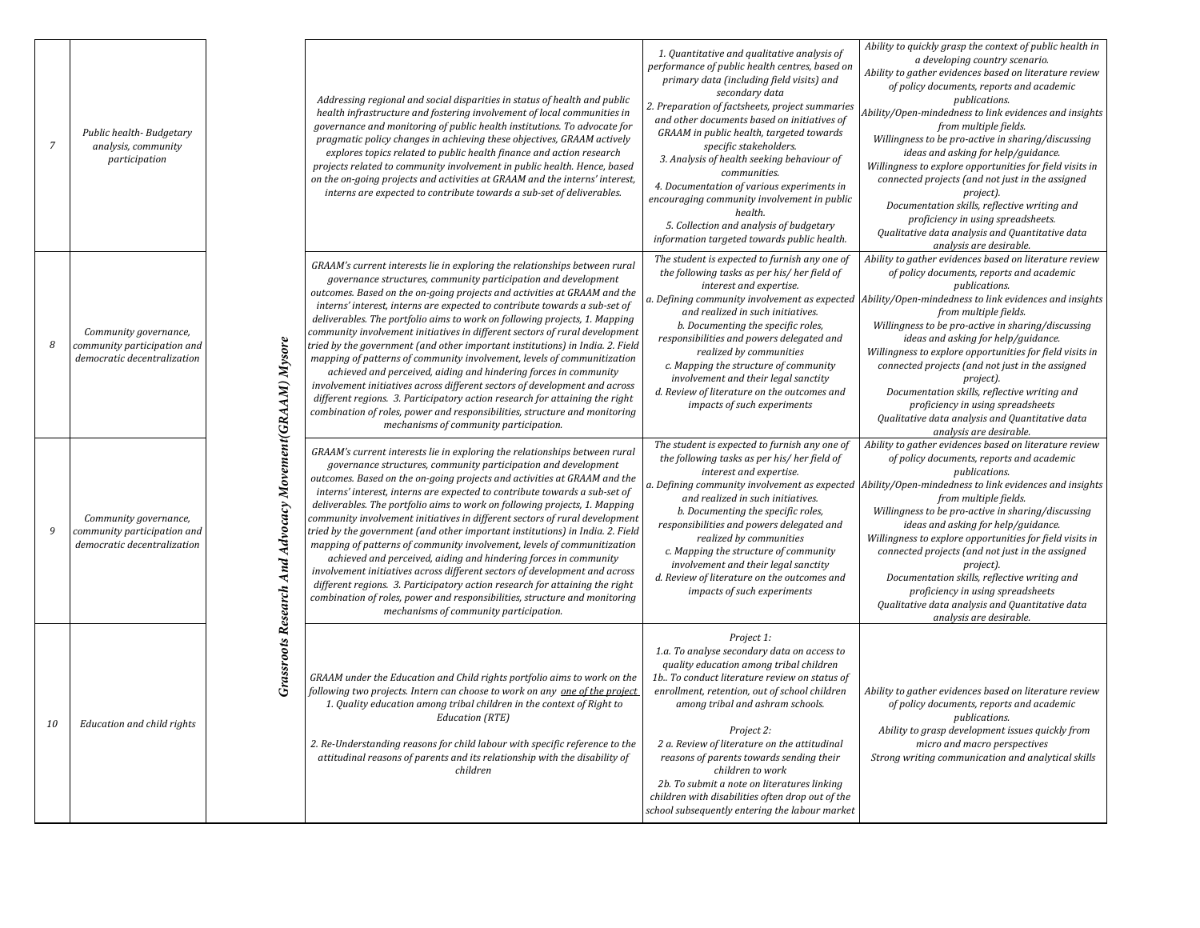| $\overline{7}$ | Public health-Budgetary<br>analysis, community<br>participation                     |                                                                 | Addressing regional and social disparities in status of health and public<br>health infrastructure and fostering involvement of local communities in<br>governance and monitoring of public health institutions. To advocate for<br>pragmatic policy changes in achieving these objectives, GRAAM actively<br>explores topics related to public health finance and action research<br>projects related to community involvement in public health. Hence, based<br>on the on-going projects and activities at GRAAM and the interns' interest,<br>interns are expected to contribute towards a sub-set of deliverables.                                                                                                                                                                                                                                                                                                                                                                   | 1. Quantitative and qualitative analysis of<br>performance of public health centres, based on<br>primary data (including field visits) and<br>secondary data<br>2. Preparation of factsheets, project summaries<br>and other documents based on initiatives of<br>GRAAM in public health, targeted towards<br>specific stakeholders.<br>3. Analysis of health seeking behaviour of<br>communities.<br>4. Documentation of various experiments in<br>encouraging community involvement in public<br>health.<br>5. Collection and analysis of budgetary<br>information targeted towards public health.                                                                                                                                                                                                                                                                                                                                                                                     | Ability to quickly grasp the context of public health in<br>a developing country scenario.<br>Ability to gather evidences based on literature review<br>of policy documents, reports and academic<br>publications.<br>Ability/Open-mindedness to link evidences and insights<br>from multiple fields.<br>Willingness to be pro-active in sharing/discussing<br>ideas and asking for help/guidance.<br>Willingness to explore opportunities for field visits in<br>connected projects (and not just in the assigned<br>project).<br>Documentation skills, reflective writing and<br>proficiency in using spreadsheets.<br>Qualitative data analysis and Quantitative data<br>analysis are desirable. |                                                                                                                                                                                                                                                                                                                                                                                                                                                                                                                                                                                                                                                    |
|----------------|-------------------------------------------------------------------------------------|-----------------------------------------------------------------|------------------------------------------------------------------------------------------------------------------------------------------------------------------------------------------------------------------------------------------------------------------------------------------------------------------------------------------------------------------------------------------------------------------------------------------------------------------------------------------------------------------------------------------------------------------------------------------------------------------------------------------------------------------------------------------------------------------------------------------------------------------------------------------------------------------------------------------------------------------------------------------------------------------------------------------------------------------------------------------|------------------------------------------------------------------------------------------------------------------------------------------------------------------------------------------------------------------------------------------------------------------------------------------------------------------------------------------------------------------------------------------------------------------------------------------------------------------------------------------------------------------------------------------------------------------------------------------------------------------------------------------------------------------------------------------------------------------------------------------------------------------------------------------------------------------------------------------------------------------------------------------------------------------------------------------------------------------------------------------|-----------------------------------------------------------------------------------------------------------------------------------------------------------------------------------------------------------------------------------------------------------------------------------------------------------------------------------------------------------------------------------------------------------------------------------------------------------------------------------------------------------------------------------------------------------------------------------------------------------------------------------------------------------------------------------------------------|----------------------------------------------------------------------------------------------------------------------------------------------------------------------------------------------------------------------------------------------------------------------------------------------------------------------------------------------------------------------------------------------------------------------------------------------------------------------------------------------------------------------------------------------------------------------------------------------------------------------------------------------------|
| 8              | Community governance,<br>community participation and<br>democratic decentralization | <b>Grassroots Research And Advocacy Movement (GRAAM) Mysore</b> |                                                                                                                                                                                                                                                                                                                                                                                                                                                                                                                                                                                                                                                                                                                                                                                                                                                                                                                                                                                          | GRAAM's current interests lie in exploring the relationships between rural<br>governance structures, community participation and development<br>outcomes. Based on the on-going projects and activities at GRAAM and the<br>interns' interest, interns are expected to contribute towards a sub-set of<br>deliverables. The portfolio aims to work on following projects, 1. Mapping<br>community involvement initiatives in different sectors of rural development<br>tried by the government (and other important institutions) in India. 2. Field<br>mapping of patterns of community involvement, levels of communitization<br>achieved and perceived, aiding and hindering forces in community<br>involvement initiatives across different sectors of development and across<br>different regions. 3. Participatory action research for attaining the right<br>combination of roles, power and responsibilities, structure and monitoring<br>mechanisms of community participation. | The student is expected to furnish any one of<br>the following tasks as per his/her field of<br>interest and expertise.<br>and realized in such initiatives.<br>b. Documenting the specific roles,<br>responsibilities and powers delegated and<br>realized by communities<br>c. Mapping the structure of community<br>involvement and their legal sanctity<br>d. Review of literature on the outcomes and<br>impacts of such experiments                                                                                                                                                                                                                                                           | Ability to gather evidences based on literature review<br>of policy documents, reports and academic<br>publications.<br>a. Defining community involvement as expected Ability/Open-mindedness to link evidences and insights<br>from multiple fields.<br>Willingness to be pro-active in sharing/discussing<br>ideas and asking for help/guidance.<br>Willingness to explore opportunities for field visits in<br>connected projects (and not just in the assigned<br>project).<br>Documentation skills, reflective writing and<br>proficiency in using spreadsheets<br>Qualitative data analysis and Quantitative data<br>analysis are desirable. |
| 9              | Community governance,<br>community participation and<br>democratic decentralization |                                                                 | GRAAM's current interests lie in exploring the relationships between rural<br>governance structures, community participation and development<br>outcomes. Based on the on-going projects and activities at GRAAM and the<br>interns' interest, interns are expected to contribute towards a sub-set of<br>deliverables. The portfolio aims to work on following projects, 1. Mapping<br>community involvement initiatives in different sectors of rural development<br>tried by the government (and other important institutions) in India. 2. Field<br>mapping of patterns of community involvement, levels of communitization<br>achieved and perceived, aiding and hindering forces in community<br>involvement initiatives across different sectors of development and across<br>different regions. 3. Participatory action research for attaining the right<br>combination of roles, power and responsibilities, structure and monitoring<br>mechanisms of community participation. | The student is expected to furnish any one of<br>the following tasks as per his/her field of<br>interest and expertise.<br>and realized in such initiatives.<br>b. Documenting the specific roles,<br>responsibilities and powers delegated and<br>realized by communities<br>c. Mapping the structure of community<br>involvement and their legal sanctity<br>d. Review of literature on the outcomes and<br>impacts of such experiments                                                                                                                                                                                                                                                                                                                                                                                                                                                                                                                                                | Ability to gather evidences based on literature review<br>of policy documents, reports and academic<br>publications.<br>a. Defining community involvement as expected Ability/Open-mindedness to link evidences and insights<br>from multiple fields.<br>Willingness to be pro-active in sharing/discussing<br>ideas and asking for help/guidance.<br>Willingness to explore opportunities for field visits in<br>connected projects (and not just in the assigned<br>project).<br>Documentation skills, reflective writing and<br>proficiency in using spreadsheets<br>Qualitative data analysis and Quantitative data<br>analysis are desirable.                                                  |                                                                                                                                                                                                                                                                                                                                                                                                                                                                                                                                                                                                                                                    |
| 10             | Education and child rights                                                          |                                                                 | GRAAM under the Education and Child rights portfolio aims to work on the<br>following two projects. Intern can choose to work on any one of the project<br>1. Quality education among tribal children in the context of Right to<br><b>Education</b> (RTE)<br>2. Re-Understanding reasons for child labour with specific reference to the<br>attitudinal reasons of parents and its relationship with the disability of<br>children                                                                                                                                                                                                                                                                                                                                                                                                                                                                                                                                                      | Project 1:<br>1.a. To analyse secondary data on access to<br>quality education among tribal children<br>1b To conduct literature review on status of<br>enrollment, retention, out of school children<br>among tribal and ashram schools.<br>Project 2:<br>2 a. Review of literature on the attitudinal<br>reasons of parents towards sending their<br>children to work<br>2b. To submit a note on literatures linking<br>children with disabilities often drop out of the<br>school subsequently entering the labour market                                                                                                                                                                                                                                                                                                                                                                                                                                                             | Ability to gather evidences based on literature review<br>of policy documents, reports and academic<br><i>publications.</i><br>Ability to grasp development issues quickly from<br>micro and macro perspectives<br>Strong writing communication and analytical skills                                                                                                                                                                                                                                                                                                                                                                                                                               |                                                                                                                                                                                                                                                                                                                                                                                                                                                                                                                                                                                                                                                    |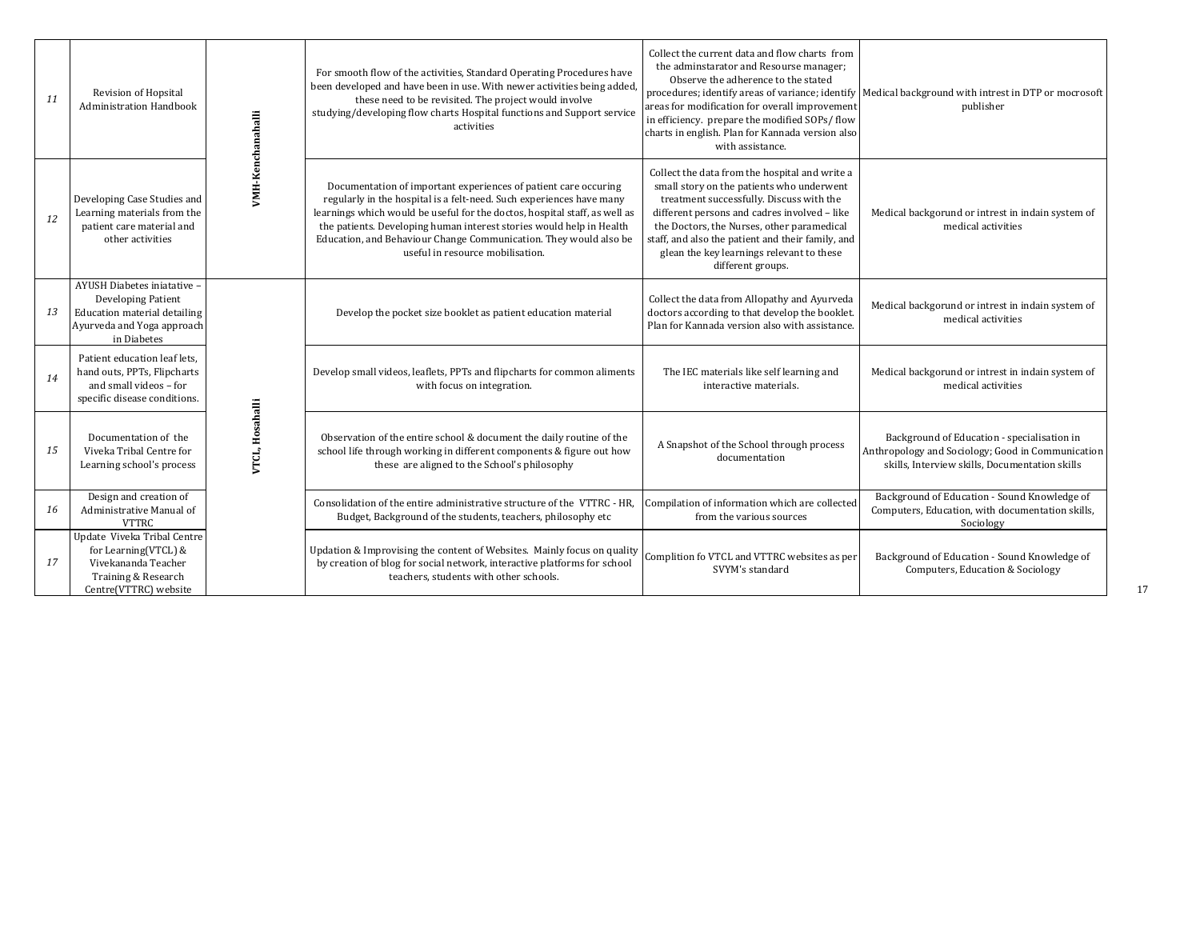| 11 | Revision of Hopsital<br><b>Administration Handbook</b>                                                                                | VMH-Kenchanahalli | For smooth flow of the activities, Standard Operating Procedures have<br>been developed and have been in use. With newer activities being added,<br>these need to be revisited. The project would involve<br>studying/developing flow charts Hospital functions and Support service<br>activities                                                                                                      | Collect the current data and flow charts from<br>the adminstarator and Resourse manager;<br>Observe the adherence to the stated<br>areas for modification for overall improvement<br>in efficiency. prepare the modified SOPs/flow<br>charts in english. Plan for Kannada version also<br>with assistance.                                                   | procedures; identify areas of variance; identify   Medical background with intrest in DTP or mocrosoft<br>publisher                                |
|----|---------------------------------------------------------------------------------------------------------------------------------------|-------------------|--------------------------------------------------------------------------------------------------------------------------------------------------------------------------------------------------------------------------------------------------------------------------------------------------------------------------------------------------------------------------------------------------------|--------------------------------------------------------------------------------------------------------------------------------------------------------------------------------------------------------------------------------------------------------------------------------------------------------------------------------------------------------------|----------------------------------------------------------------------------------------------------------------------------------------------------|
| 12 | Developing Case Studies and<br>Learning materials from the<br>patient care material and<br>other activities                           |                   | Documentation of important experiences of patient care occuring<br>regularly in the hospital is a felt-need. Such experiences have many<br>learnings which would be useful for the doctos, hospital staff, as well as<br>the patients. Developing human interest stories would help in Health<br>Education, and Behaviour Change Communication. They would also be<br>useful in resource mobilisation. | Collect the data from the hospital and write a<br>small story on the patients who underwent<br>treatment successfully. Discuss with the<br>different persons and cadres involved - like<br>the Doctors, the Nurses, other paramedical<br>staff, and also the patient and their family, and<br>glean the key learnings relevant to these<br>different groups. | Medical backgorund or intrest in indain system of<br>medical activities                                                                            |
| 13 | AYUSH Diabetes iniatative -<br><b>Developing Patient</b><br>Education material detailing<br>Ayurveda and Yoga approach<br>in Diabetes |                   | Develop the pocket size booklet as patient education material                                                                                                                                                                                                                                                                                                                                          | Collect the data from Allopathy and Ayurveda<br>doctors according to that develop the booklet.<br>Plan for Kannada version also with assistance.                                                                                                                                                                                                             | Medical backgorund or intrest in indain system of<br>medical activities                                                                            |
| 14 | Patient education leaf lets.<br>hand outs, PPTs, Flipcharts<br>and small videos - for<br>specific disease conditions.                 |                   | Develop small videos, leaflets, PPTs and flipcharts for common aliments<br>with focus on integration.                                                                                                                                                                                                                                                                                                  | The IEC materials like self learning and<br>interactive materials.                                                                                                                                                                                                                                                                                           | Medical backgorund or intrest in indain system of<br>medical activities                                                                            |
| 15 | Documentation of the<br>Viveka Tribal Centre for<br>Learning school's process                                                         | VTCL, Hosahalli   | Observation of the entire school & document the daily routine of the<br>school life through working in different components & figure out how<br>these are aligned to the School's philosophy                                                                                                                                                                                                           | A Snapshot of the School through process<br>documentation                                                                                                                                                                                                                                                                                                    | Background of Education - specialisation in<br>Anthropology and Sociology; Good in Communication<br>skills, Interview skills, Documentation skills |
| 16 | Design and creation of<br>Administrative Manual of<br><b>VTTRC</b>                                                                    |                   | Consolidation of the entire administrative structure of the VTTRC - HR,<br>Budget, Background of the students, teachers, philosophy etc                                                                                                                                                                                                                                                                | Compilation of information which are collected<br>from the various sources                                                                                                                                                                                                                                                                                   | Background of Education - Sound Knowledge of<br>Computers, Education, with documentation skills,<br>Sociology                                      |
| 17 | Update Viveka Tribal Centre<br>for Learning(VTCL) &<br>Vivekananda Teacher<br>Training & Research<br>Centre(VTTRC) website            |                   | Updation & Improvising the content of Websites. Mainly focus on quality<br>by creation of blog for social network, interactive platforms for school<br>teachers, students with other schools.                                                                                                                                                                                                          | Complition fo VTCL and VTTRC websites as per<br>SVYM's standard                                                                                                                                                                                                                                                                                              | Background of Education - Sound Knowledge of<br>Computers, Education & Sociology                                                                   |